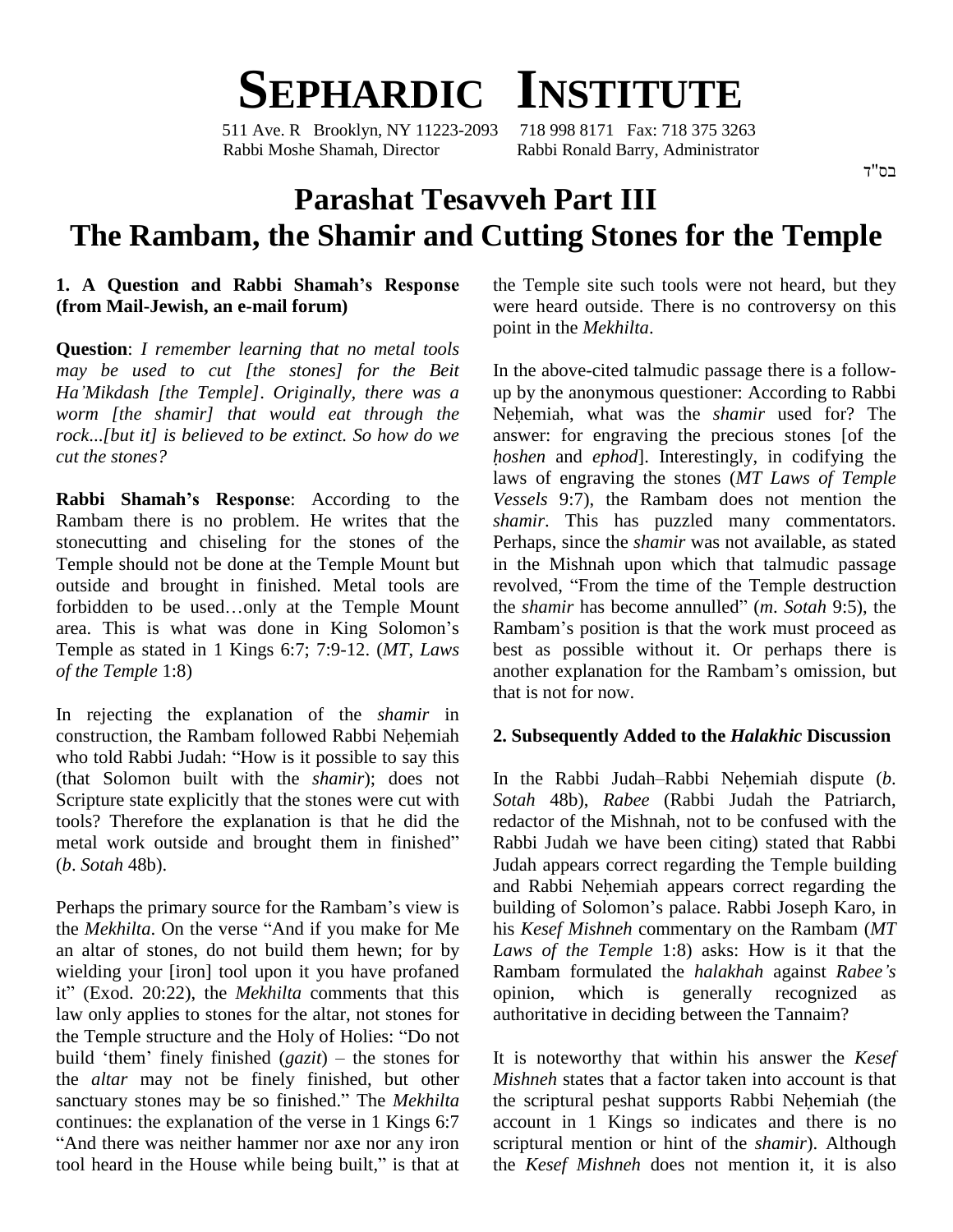

511 Ave. R Brooklyn, NY 11223-2093 718 998 8171 Fax: 718 375 3263 Rabbi Moshe Shamah, Director Rabbi Ronald Barry, Administrator

#### בס"ד

# **Parashat Tesavveh Part III The Rambam, the Shamir and Cutting Stones for the Temple 1. <sup>A</sup> Question and Rabbi Shamahís Response**

## **(from Mail-Jewish, an e-mail forum)**

**Question**: *I remember learning that no metal tools HaíMikdash [the Temple]*. *Originally, there was <sup>a</sup> may be used to cut [the stones] for the Beit worm [the shamir] that would eat through the rock*...*[but it] is believed to be extinct. So how do we cut the stones?*

Rambam there is no problem. He writes that the stonecutting and chiseling for the stones of the Temple should not be done at the Temple Mount but<br>
outside and brought in finished. Metal tools are<br>
forbidden to be used...only at the Temple Mount outside and brought in finished. Metal tools are forbidden to be used...only at the Temple Mount the *shamir* has become annulled" (*m. Sotah* 9:5), the area. This is what was done in King Solomon's Rambam's position is that the work must proceed as Temple as stated in 1 Kings 6:7; 7:9-12. (*MT*, *Laws of the Temple* 1:8)

In rejecting the explanation of the *shamir* in construction, the Rambam followed Rabbi Nehemiah who told Rabbi Judah: "How is it possible to say this (that Solomon built with the *shamir*); does not Scripture state explicitly that the stones were cut with tools? Therefore the explanation is that he did the Scripture state explicitly that the stones were cut with<br>tools? Therefore the explanation is that he did the rediantial work outside and brought them in finished" Rab (*b*. *Sotah* 48b).

the *Mekhilta*. On the verse "And if you make for Me an altar of stones, do not build them hewn; for by wielding your [iron] tool upon it you have profaned Rambam formulated the *halakhah* against *Rabee's* an altar of stones, do not build them hewn; for by La<br>wielding your [iron] tool upon it you have profaned Ra<br>it" (Exod. 20:22), the *Mekhilta* comments that this op law only applies to stones for the altar, not stones for it" (Exod. 20:22), the *Mekhilta* comments that this<br>law only applies to stones for the altar, not stones for<br>the Temple structure and the Holy of Holies: "Do not the Temple structure and the Holy of Holies: "Do not build 'them' finely finished  $(gazit)$  – the stones for the *altar* may not be finely finished, but other build 'them' finely finished (*gazit*) – the stones for<br>the *altar* may not be finely finished, but other *Mish*<br>sanctuary stones may be so finished." The *Mekhilta* the s continues: the explanation of the verse in 1 Kings 6:7 acco<br>
"And there was neither hammer nor axe nor any iron scrip<br>
tool heard in the House while being built," is that at the And there was neither hammer nor axe nor any iron

the Temple site such tools were not heard, but they were heard outside. There is no controversy on this point in the *Mekhilta*.

*Rabbi* Shamah's Response: According to the *Vessels* 9:7), the Rambam does not mention the **Rabbi** Shamah's Response: According to the *Vessels* 9:7), the Rambam does not mention the In the above-cited talmudic passage there is a follow up by the anonymous questioner: According to Rabbi In the above-cited talmudic passage there is a follow-<br>up by the anonymous questioner: According to Rabbi<br>Nehemiah, what was the *shamir* used for? The answer: for engraving the precious stones [of the *Nehemiah*. what was the *shamir* used for? The laws of engraving the stones (*MT Laws of Temple Vessels* 9:7), the Rambam does not mention the *shamir*. This has puzzled many commentators. Perhaps, since the *shamir* was not available, as stated<br>in the Mishnah upon which that talmudic passage<br>revolved, "From the time of the Temple destruction in the Mishnah upon which that talmudic passage<br>revolved, "From the time of the Temple destruction<br>the *shamir* has become annulled" (*m. Sotah* 9:5), the revolved, "From the time of the Temple destruction best as possible without it. Or perhaps there is Rambam's position is that the work must proceed as<br>best as possible without it. Or perhaps there is<br>another explanation for the Rambam's omission, but that is not for now.

and Rabbi Nehemiah appears correct regarding the<br>Perhaps the primary source for the Rambam's view is building of Solomon's palace. Rabbi Joseph Karo, in **2. Subsequently Added to the** *Halakhic* **Discussion**<br>In the Rabbi Judah–Rabbi Nehemiah dispute (*b*. *Sotah* 48b), *Rabee* (Rabbi Judah the Patriarch, redactor of the Mishnah, not to be confused with the Rabbi Judah we have been citing) stated that Rabbi and Rabbi Nehemiah appears correct regarding the Judah appears correct regarding the Temple building building of Solomoní<sup>s</sup> palace. Rabbi Joseph Karo, in his *Kesef Mishneh* commentary on the Rambam (*MT* Rambam formulated the *halakhah* against *Rabeeí<sup>s</sup> Laws of the Temple* 1:8) asks: How is it that the opinion, which is generally recognized as authoritative in deciding between the Tannaim?

> It is noteworthy that within his answer the *Kesef Mishneh* states that a factor taken into account is that It is noteworthy that within his answer the *Kesef*<br>*Mishneh* states that a factor taken into account is that<br>the scriptural peshat supports Rabbi Nehemiah (the account in 1 Kings so indicates and there is no scriptural mention or hint of the *shamir*). Although the *Kesef Mishneh* does not mention it, it is also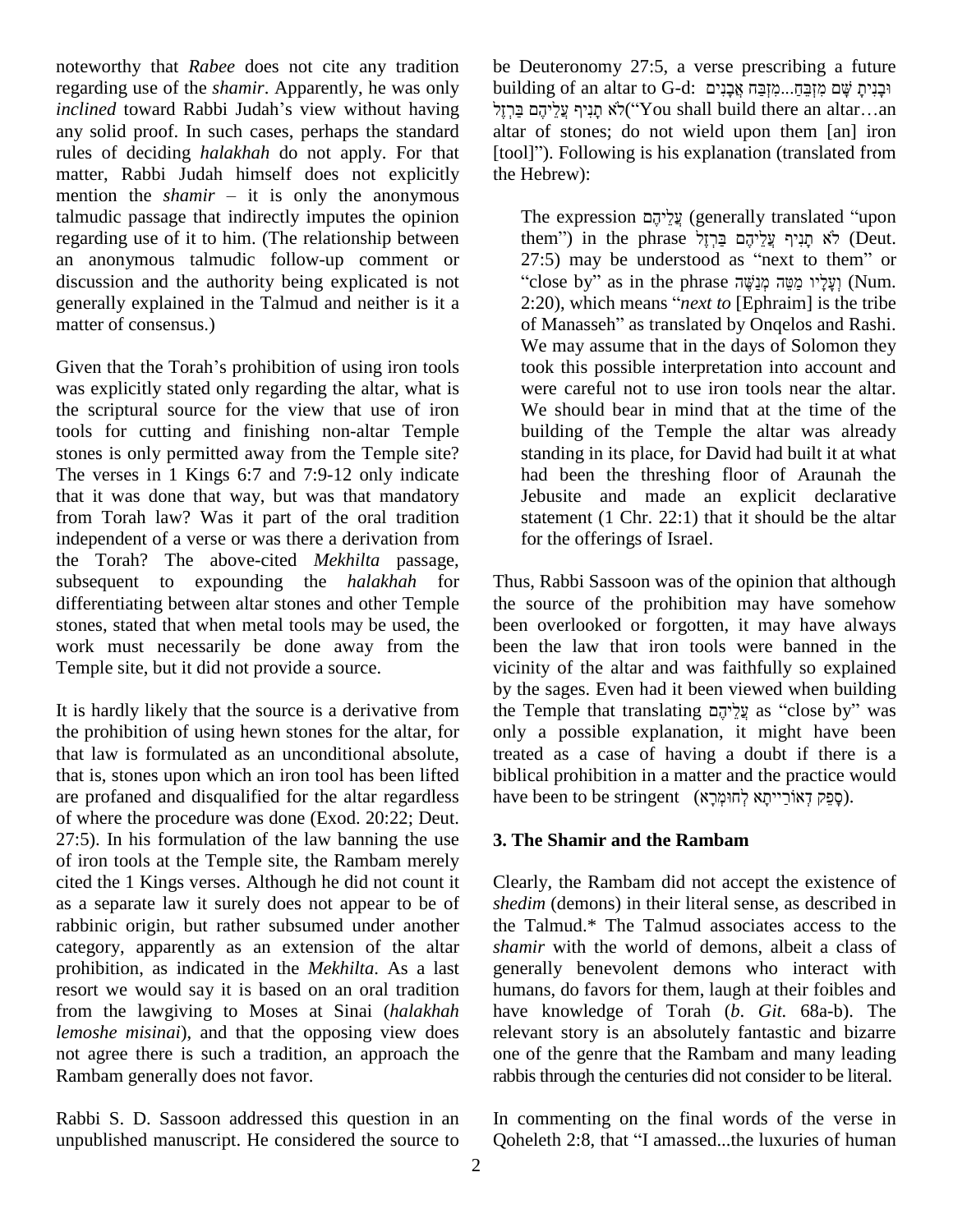noteworthy that *Rabee* does not cite any tradition regarding use of the *shamir*. Apparently, he was only noteworthy that *Rabee* does not cite any tradition be L<br>regarding use of the *shamir*. Apparently, he was only build<br>*inclined* toward Rabbi Judah's view without having any solid proof. In such cases, perhaps the standard rules of deciding *halakhah* do not apply. For that [to matter, Rabbi Judah himself does not explicitly the mention the *shamir* – it is only the anonymous matter, Rabbi Judah himself does not explicitly talmudic passage that indirectly imputes the opinion regarding use of it to him. (The relationship between an anonymous talmudic follow-up comment or discussion and the authority being explicated is not generally explained in the Talmud and neither is it a 2:20), which means "*next to* [Ephraim] is the tribe matter of consensus.)

Given that the Torah's prohibition of using iron tools was explicitly stated only regarding the altar, what is the scriptural source for the view that use of iron tools for cutting and finishing non-altar Temple stones is only permitted away from the Temple site? The verses in 1 Kings 6:7 and 7:9-12 only indicate that it was done that way, but was that mandatory from Torah law? Was it part of the oral tradition independent of a verse or was there a derivation from the Torah? The above-cited *Mekhilta* passage, subsequent to expounding the *halakhah* for differentiating between altar stones and other Temple stones, stated that when metal tools may be used, the work must necessarily be done away from the Temple site, but it did not provide a source.

It is hardly likely that the source is a derivative from the prohibition of using hewn stones for the altar, for that law is formulated as an unconditional absolute, that is, stones upon which an iron tool has been lifted are profaned and disqualified for the altar regardless of where the procedure was done (Exod. 20:22; Deut.  $27:5$ ). In his formulation of the law banning the use of iron tools at the Temple site, the Rambam merely cited the 1 Kings verses. Although he did not count it as a separate law it surely does not appear to be of rabbinic origin, but rather subsumed under another category, apparently as an extension of the altar prohibition, as indicated in the *Mekhilta*. As a last resort we would say it is based on an oral tradition from the lawgiving to Moses at Sinai (*halakhah lemoshe misinai*), and that the opposing view does not agree there is such a tradition, an approach the Rambam generally does not favor.

Rabbi S. D. Sassoon addressed this question in an unpublished manuscript. He considered the source to

be Deuteronomy 27:5, a verse prescribing a future be Deuteronomy 27:5, a verse prescribing a future<br>building of an altar to G-d: וּבְנִימָ שָׁם מִזְבַּחָּ..מִזְבַּח אֲבָנִים be I euteronomy 27:5, a verse prescribing a future<br>|ing of an altar to G-d: אֲבָנִים אֲבָנִים<br>|יֹא תְנִיף עֲלֵיהֶם (You shall build there an altar….an altar of stones; do not wield upon them [an] iron תְּנִיּף עֲלֵיהֶם בַּרְזֶל). Following is his explanation (translated from [tool]"). Following is his explanation (translated from the Hebrew):

The expression עֲלִיהֶם (generally translated "upon עֲלֵיהֶם (generally translated "upon<br>them") in the phrase לֹא תָנִיף עֲלֵיהֶם בַּרְזֶל The expression עֲלֵיהֶם (generally translated "upon<br>them") in the phrase לָא תְנִיף עֲלֵיהֶם בַּרְזָל<br>27:5) may be understood as "next to them" or hem") in the phrase לֹא תָּנִיף עֲלֵיהֶם בַּרְזֶל (Deut.<br>7:5) may be understood as "next to them" or close by" as in the phrase וֹעֲלָיו מֵשֶׁה מְנַשֶּׁה ה 27:5) may be understood as "next to them" or<br>"close by" as in the phrase יְנֵשֶּׁה מְנֵשָּׁה מְיָנֵאׁי (Num.<br>2:20), which means "*next to* [Ephraim] is the tribe "close by" as in the phrase וְעָלָיו מַמֵּה מְנַשֶּׁה (Num.<br>2:20), which means "*next to* [Ephraim] is the tribe of Manasseh" as translated by Onqelos and Rashi. We may assume that in the days of Solomon they took this possible interpretation into account and were careful not to use iron tools near the altar. We should bear in mind that at the time of the building of the Temple the altar was already standing in its place, for David had built it at what had been the threshing floor of Araunah the Jebusite and made an explicit declarative statement (1 Chr. 22:1) that it should be the altar for the offerings of Israel.

Thus, Rabbi Sassoon was of the opinion that although the source of the prohibition may have somehow been overlooked or forgotten, it may have always been the law that iron tools were banned in the vicinity of the altar and was faithfully so explained<br>by the sages. Even had it been viewed when building<br>the Temple that translating עֲלֵיהֶם as "close by" was by the sages. Even had it been viewed when building only a possible explanation, it might have been treated as a case of having a doubt if there is a<br>have been to be stringent (קְפֵק דְאוֹרֵייתָא לְחוּמְרָא). biblical prohibition in a matter and the practice would

#### **3. The Shamir and the Rambam**

Clearly, the Rambam did not accept the existence of *shedim* (demons) in their literal sense, as described in the Talmud.\* The Talmud associates access to the *shamir* with the world of demons, albeit a class of generally benevolent demons who interact with humans, do favors for them, laugh at their foibles and have knowledge of Torah (*b*.*Git.* 68a-b). The relevant story is an absolutely fantastic and bizarre one of the genre that the Rambam and many leading rabbis through the centuries did not consider to be literal.

In commenting on the final words of the verse in Ooheleth 2:8, that "I amassed...the luxuries of human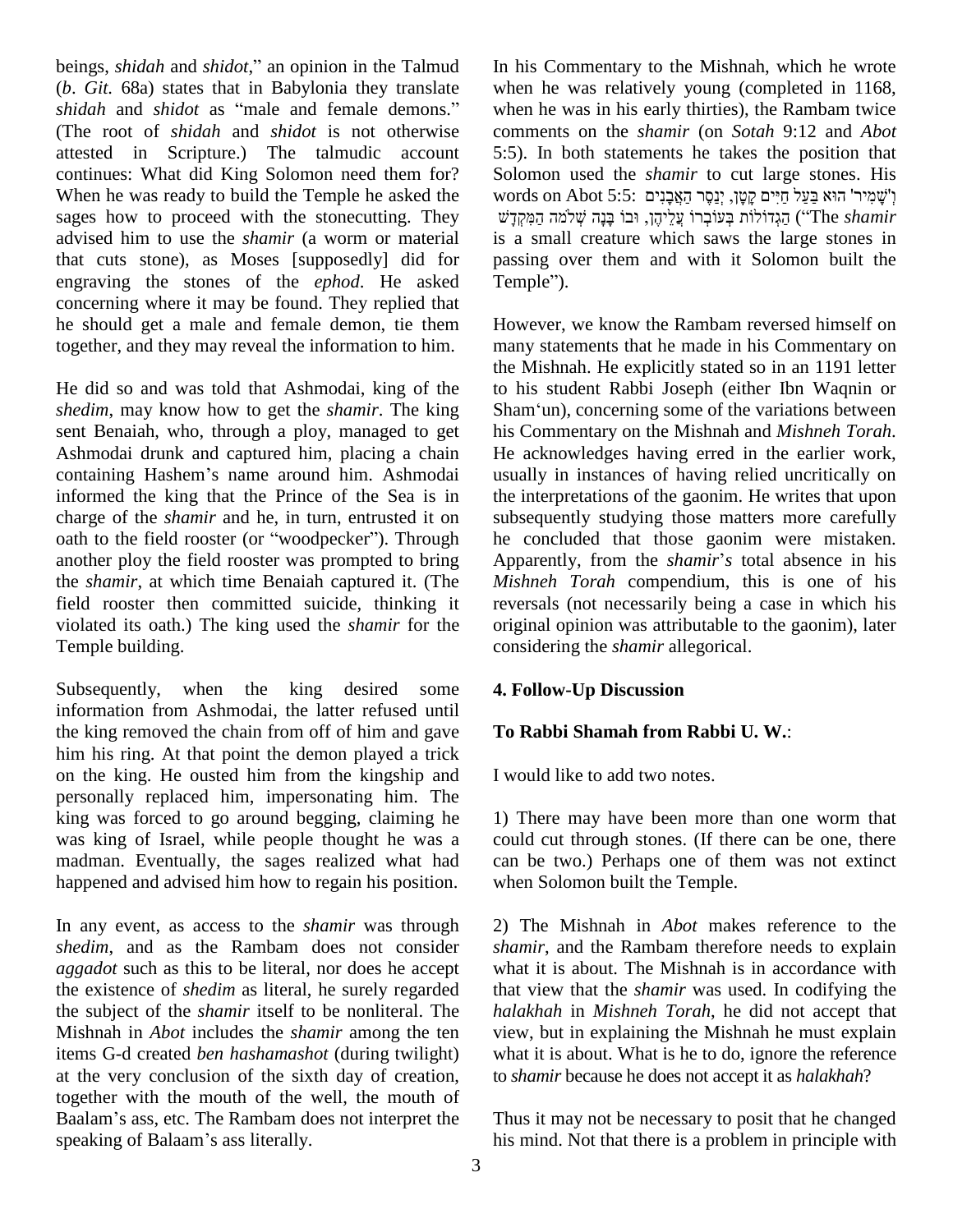beings, *shidah* and *shidot*," an opinion in the Talmud In hi (*b*. *Git.* 68a) states that in Babylonia they translate beings, *shidah* and *shidot*," an opinion in the Talmud In *l* (*b. Git.* 68a) states that in Babylonia they translate whe *shidah* and *shidot* as "male and female demons." where (The root of *shidah* and *shidot* is not otherwise attested in Scripture.) The talmudic account continues: What did King Solomon need them for? When he was ready to build the Temple he asked the sages how to proceed with the stonecutting. They advised him to use the *shamir* (a worm or material that cuts stone), as Moses [supposedly] did for engraving the stones of the *ephod*. He asked concerning where it may be found. They replied that he should get a male and female demon, tie them together, and they may reveal the information to him.

He did so and was told that Ashmodai, king of the *shedim*, may know how to get the *shamir*. The king sent Benaiah, who, through a ploy, managed to get containing Hashemí<sup>s</sup> name around him. Ashmodai Ashmodai drunk and captured him, placing a chain informed the king that the Prince of the Sea is in the is charge of the *shamir* and he, in turn, entrusted it on subset of the field rooster (or "woodpecker"). Through he charge of the *shamir* and he, in turn, entrusted it on another ploy the field rooster was prompted to bring Apparently, from the *shamir's* total absence in his the *shamir*, at which time Benaiah captured it. (The field rooster then committed suicide, thinking it violated its oath.) The king used the *shamir* for the Temple building.

Subsequently, when the king desired some information from Ashmodai, the latter refused until the king removed the chain from off of him and gave him his ring. At that point the demon played a trick on the king. He ousted him from the kingship and personally replaced him, impersonating him. The king was forced to go around begging, claiming he was king of Israel, while people thought he was a madman. Eventually, the sages realized what had happened and advised him how to regain his position.

In any event, as access to the *shamir* was through *shedim*, and as the Rambam does not consider *aggadot* such as this to be literal, nor does he accept the existence of *shedim* as literal, he surely regarded the subject of the *shamir* itself to be nonliteral. The Mishnah in *Abot* includes the *shamir* among the ten items G-d created *ben hashamashot* (during twilight) at the very conclusion of the sixth day of creation, to subsetted to subsetted the mouth of Baalam's ass, etc. The Rambam does not interpret the Thu together with the mouth of the well, the mouth of<br>Baalam's ass, etc. The Rambam does not interpret the T<br>speaking of Balaam's ass literally.

In his Commentary to the Mishnah, which he wrote when he was relatively young (completed in 1168, when he was in his early thirties), the Rambam twice comments on the *shamir* (on *Sotah* 9:12 and *Abot* 5:5). In both statements he takes the position that Solomon used the *shamir* to cut large stones. His 5:5). In both statements he takes the position that Solomon used the *shamir* to cut large stones. His words on Abot 5:5: יְשָׁמִיר<sup>ן</sup> הוּא בַּעֲל חַיִּים קָטָן, יְנַסֶּר הַאֲבָנָיִם solom ʤʮ˄ˇʍ ʤʕʰˎʕ ˣʡ˒ ʯʤʓʩʬʒʲʏ ˣʸʡʍˣʲˎʍ ʺˣʬˣʣʍʢʤʔ (ìThe *shamir* is a small creature which saws the large stones in passing over them and with it Solomon built the Temple"). passing over them and with it Solomon built the

However, we know the Rambam reversed himself on many statements that he made in his Commentary on the Mishnah. He explicitly stated so in an 1191 letter to his student Rabbi Joseph (either Ibn Waqnin or the Mishnah. He explicitly stated so in an 1191 letter<br>to his student Rabbi Joseph (either Ibn Waqnin or<br>Sham'un), concerning some of the variations between his Commentary on the Mishnah and *Mishneh Torah*. He acknowledges having erred in the earlier work, usually in instances of having relied uncritically on the interpretations of the gaonim. He writes that upon subsequently studying those matters more carefully Apparently, from the *shamir*í*<sup>s</sup>* total absence in his he concluded that those gaonim were mistaken. *Mishneh Torah* compendium, this is one of his reversals (not necessarily being a case in which his original opinion was attributable to the gaonim), later considering the *shamir* allegorical.

#### **4. Follow-Up Discussion**

#### **To Rabbi Shamah from Rabbi U. W.**:

I would like to add two notes.

1) There may have been more than one worm that could cut through stones. (If there can be one, there can be two.) Perhaps one of them was not extinct when Solomon built the Temple.

2) The Mishnah in *Abot* makes reference to the *shamir*, and the Rambam therefore needs to explain what it is about. The Mishnah is in accordance with that view that the *shamir* was used. In codifying the *halakhah* in *Mishneh Torah*, he did not accept that view, but in explaining the Mishnah he must explain what it is about. What is he to do, ignore the reference to *shamir* because he does not accept it as *halakhah*?

Thus it may not be necessary to posit that he changed his mind. Not that there is a problem in principle with